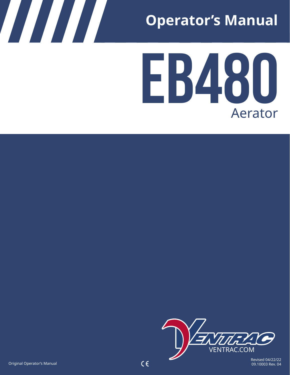# **Operator's Manual**





Original Operator's Manual  $\epsilon$ 

Revised 04/22/22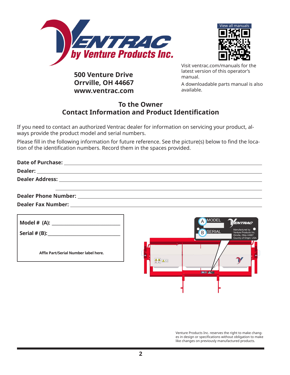



**500 Venture Drive Orrville, OH 44667 www.ventrac.com** Visit ventrac.com/manuals for the latest version of this operator's manual.

A downloadable parts manual is also available.

#### **To the Owner Contact Information and Product Identification**

If you need to contact an authorized Ventrac dealer for information on servicing your product, always provide the product model and serial numbers.

Please fill in the following information for future reference. See the picture(s) below to find the location of the identification numbers. Record them in the spaces provided.

|                                      | <b>MODEL</b><br><b>B</b> SERIAL                                                                        | ENTRAC<br>Manufactured by<br>Venture Products Inc.<br>Orrville, Ohio 44667<br>Country of Origin: USA |
|--------------------------------------|--------------------------------------------------------------------------------------------------------|------------------------------------------------------------------------------------------------------|
| Affix Part/Serial Number label here. | $\frac{\triangle \triangle}{\text{SE}}$ $\boxed{\triangle}$ $\boxed{\triangle}$<br><b>TOSA BEE YOU</b> |                                                                                                      |

Venture Products Inc. reserves the right to make changes in design or specifications without obligation to make like changes on previously manufactured products.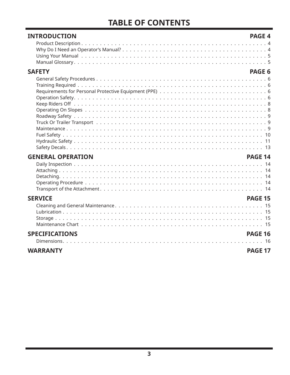## **TABLE OF CONTENTS**

| <b>INTRODUCTION</b>      | PAGE 4         |
|--------------------------|----------------|
|                          |                |
| <b>SAFETY</b>            | <b>PAGE 6</b>  |
|                          |                |
| <b>GENERAL OPERATION</b> | <b>PAGE 14</b> |
|                          |                |
| <b>SERVICE</b>           | <b>PAGE 15</b> |
|                          |                |
| <b>SPECIFICATIONS</b>    | <b>PAGE 16</b> |
|                          |                |
| <b>WARRANTY</b>          | <b>PAGE 17</b> |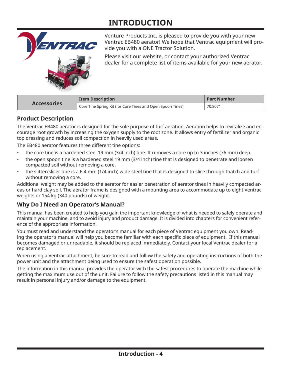## **INTRODUCTION**



Venture Products Inc. is pleased to provide you with your new Ventrac EB480 aerator! We hope that Ventrac equipment will provide you with a ONE Tractor Solution.

Please visit our website, or contact your authorized Ventrac dealer for a complete list of items available for your new aerator.

|                    | <b>Item Description</b>                                    | <b>Part Number</b> |
|--------------------|------------------------------------------------------------|--------------------|
| <b>Accessories</b> | Core Tine Spring Kit (for Core Tines and Open Spoon Tines) | 70.8071            |

#### **Product Description**

The Ventrac EB480 aerator is designed for the sole purpose of turf aeration. Aeration helps to revitalize and encourage root growth by increasing the oxygen supply to the root zone. It allows entry of fertilizer and organic top dressing and reduces soil compaction in heavily used areas.

The EB480 aerator features three different tine options:

- the core tine is a hardened steel 19 mm (3/4 inch) tine. It removes a core up to 3 inches (76 mm) deep.
- the open spoon tine is a hardened steel 19 mm (3/4 inch) tine that is designed to penetrate and loosen compacted soil without removing a core.
- the slitter/slicer tine is a 6.4 mm (1/4 inch) wide steel tine that is designed to slice through thatch and turf without removing a core.

Additional weight may be added to the aerator for easier penetration of aerator tines in heavily compacted areas or hard clay soil. The aerator frame is designed with a mounting area to accommodate up to eight Ventrac weights or 154 kg (340 pounds) of weight.

#### **Why Do I Need an Operator's Manual?**

This manual has been created to help you gain the important knowledge of what is needed to safely operate and maintain your machine, and to avoid injury and product damage. It is divided into chapters for convenient reference of the appropriate information.

You must read and understand the operator's manual for each piece of Ventrac equipment you own. Reading the operator's manual will help you become familiar with each specific piece of equipment. If this manual becomes damaged or unreadable, it should be replaced immediately. Contact your local Ventrac dealer for a replacement.

When using a Ventrac attachment, be sure to read and follow the safety and operating instructions of both the power unit and the attachment being used to ensure the safest operation possible.

The information in this manual provides the operator with the safest procedures to operate the machine while getting the maximum use out of the unit. Failure to follow the safety precautions listed in this manual may result in personal injury and/or damage to the equipment.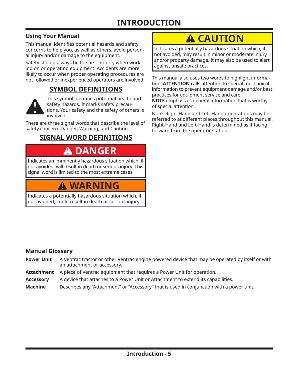#### **Using Your Manual**

This manual identifies potential hazards and safety concerns to help you, as well as others, avoid personal injury and/or damage to the equipment.

Safety should always be the first priority when working on or operating equipment. Accidents are more likely to occur when proper operating procedures are not followed or inexperienced operators are involved.

#### **SYMBOL DEFINITIONS**



This symbol identifies potential health and safety hazards. It marks safety precautions. Your safety and the safety of others is involved.

There are three signal words that describe the level of safety concern: Danger, Warning, and Caution.

#### **SIGNAL WORD DEFINITIONS**

## **DANGER**

Indicates an imminently hazardous situation which, if not avoided, will result in death or serious injury. This signal word is limited to the most extreme cases.

## **WARNING**

Indicates a potentially hazardous situation which, if not avoided, could result in death or serious injury.

## **CAUTION**

Indicates a potentially hazardous situation which, if not avoided, may result in minor or moderate injury and/or property damage. It may also be used to alert against unsafe practices.

This manual also uses two words to highlight information. **ATTENTION** calls attention to special mechanical information to prevent equipment damage and/or best practices for equipment service and care. **NOTE** emphasizes general information that is worthy of special attention.

Note: Right-Hand and Left-Hand orientations may be referred to at different places throughout this manual. Right-Hand and Left-Hand is determined as if facing forward from the operator station.

#### **Manual Glossary**

- **Power Unit** A Ventrac tractor or other Ventrac engine powered device that may be operated by itself or with an attachment or accessory.
- **Attachment** A piece of Ventrac equipment that requires a Power Unit for operation.
- **Accessory** A device that attaches to a Power Unit or Attachment to extend its capabilities.
- **Machine** Describes any "Attachment" or "Accessory" that is used in conjunction with a power unit.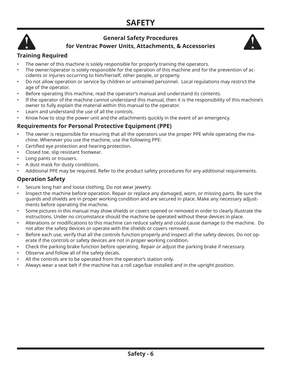

#### **General Safety Procedures**

#### **for Ventrac Power Units, Attachments, & Accessories**



#### **Training Required**

- The owner of this machine is solely responsible for properly training the operators.
- The owner/operator is solely responsible for the operation of this machine and for the prevention of accidents or injuries occurring to him/herself, other people, or property.
- Do not allow operation or service by children or untrained personnel. Local regulations may restrict the age of the operator.
- Before operating this machine, read the operator's manual and understand its contents.
- If the operator of the machine cannot understand this manual, then it is the responsibility of this machine's owner to fully explain the material within this manual to the operator.
- Learn and understand the use of all the controls.
- Know how to stop the power unit and the attachments quickly in the event of an emergency.

#### **Requirements for Personal Protective Equipment (PPE)**

- The owner is responsible for ensuring that all the operators use the proper PPE while operating the machine. Whenever you use the machine, use the following PPE:
- Certified eye protection and hearing protection.
- Closed toe, slip resistant footwear.
- Long pants or trousers.
- A dust mask for dusty conditions.
- Additional PPE may be required. Refer to the product safety procedures for any additional requirements.

#### **Operation Safety**

- Secure long hair and loose clothing. Do not wear jewelry.
- Inspect the machine before operation. Repair or replace any damaged, worn, or missing parts. Be sure the guards and shields are in proper working condition and are secured in place. Make any necessary adjustments before operating the machine.
- Some pictures in this manual may show shields or covers opened or removed in order to clearly illustrate the instructions. Under no circumstance should the machine be operated without these devices in place.
- Alterations or modifications to this machine can reduce safety and could cause damage to the machine. Do not alter the safety devices or operate with the shields or covers removed.
- Before each use, verify that all the controls function properly and inspect all the safety devices. Do not operate if the controls or safety devices are not in proper working condition.
- Check the parking brake function before operating. Repair or adjust the parking brake if necessary.
- Observe and follow all of the safety decals.
- All the controls are to be operated from the operator's station only.
- Always wear a seat belt if the machine has a roll cage/bar installed and in the upright position.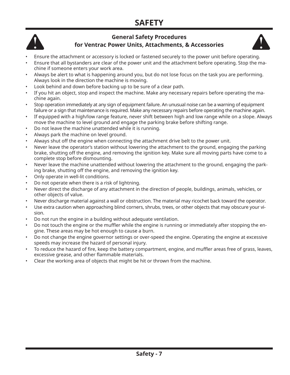

#### **General Safety Procedures**

**for Ventrac Power Units, Attachments, & Accessories**



- Ensure the attachment or accessory is locked or fastened securely to the power unit before operating.
- Ensure that all bystanders are clear of the power unit and the attachment before operating. Stop the machine if someone enters your work area.
- Always be alert to what is happening around you, but do not lose focus on the task you are performing. Always look in the direction the machine is moving.
- Look behind and down before backing up to be sure of a clear path.
- If you hit an object, stop and inspect the machine. Make any necessary repairs before operating the machine again.
- Stop operation immediately at any sign of equipment failure. An unusual noise can be a warning of equipment failure or a sign that maintenance is required. Make any necessary repairs before operating the machine again.
- If equipped with a high/low range feature, never shift between high and low range while on a slope. Always move the machine to level ground and engage the parking brake before shifting range.
- Do not leave the machine unattended while it is running.
- Always park the machine on level ground.
- Always shut off the engine when connecting the attachment drive belt to the power unit.
- Never leave the operator's station without lowering the attachment to the ground, engaging the parking brake, shutting off the engine, and removing the ignition key. Make sure all moving parts have come to a complete stop before dismounting.
- Never leave the machine unattended without lowering the attachment to the ground, engaging the parking brake, shutting off the engine, and removing the ignition key.
- Only operate in well-lit conditions.
- Do not operate when there is a risk of lightning.
- Never direct the discharge of any attachment in the direction of people, buildings, animals, vehicles, or other objects of value.
- Never discharge material against a wall or obstruction. The material may ricochet back toward the operator.
- Use extra caution when approaching blind corners, shrubs, trees, or other objects that may obscure your vision.
- Do not run the engine in a building without adequate ventilation.
- Do not touch the engine or the muffler while the engine is running or immediately after stopping the engine. These areas may be hot enough to cause a burn.
- Do not change the engine governor settings or over-speed the engine. Operating the engine at excessive speeds may increase the hazard of personal injury.
- To reduce the hazard of fire, keep the battery compartment, engine, and muffler areas free of grass, leaves, excessive grease, and other flammable materials.
- Clear the working area of objects that might be hit or thrown from the machine.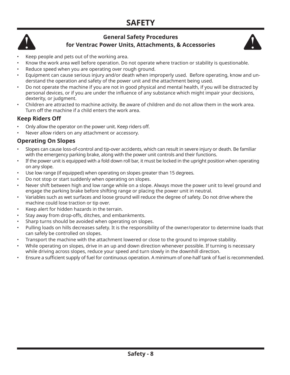



- Keep people and pets out of the working area.
- Know the work area well before operation. Do not operate where traction or stability is questionable.
- Reduce speed when you are operating over rough ground.
- Equipment can cause serious injury and/or death when improperly used. Before operating, know and understand the operation and safety of the power unit and the attachment being used.
- Do not operate the machine if you are not in good physical and mental health, if you will be distracted by personal devices, or if you are under the influence of any substance which might impair your decisions, dexterity, or judgment.
- Children are attracted to machine activity. Be aware of children and do not allow them in the work area. Turn off the machine if a child enters the work area.

#### **Keep Riders Off**

- Only allow the operator on the power unit. Keep riders off.
- Never allow riders on any attachment or accessory.

#### **Operating On Slopes**

- Slopes can cause loss-of-control and tip-over accidents, which can result in severe injury or death. Be familiar with the emergency parking brake, along with the power unit controls and their functions.
- If the power unit is equipped with a fold down roll bar, it must be locked in the upright position when operating on any slope.
- Use low range (if equipped) when operating on slopes greater than 15 degrees.
- Do not stop or start suddenly when operating on slopes.
- Never shift between high and low range while on a slope. Always move the power unit to level ground and engage the parking brake before shifting range or placing the power unit in neutral.
- Variables such as wet surfaces and loose ground will reduce the degree of safety. Do not drive where the machine could lose traction or tip over.
- Keep alert for hidden hazards in the terrain.
- Stay away from drop-offs, ditches, and embankments.
- Sharp turns should be avoided when operating on slopes.
- Pulling loads on hills decreases safety. It is the responsibility of the owner/operator to determine loads that can safely be controlled on slopes.
- Transport the machine with the attachment lowered or close to the ground to improve stability.
- While operating on slopes, drive in an up and down direction whenever possible. If turning is necessary while driving across slopes, reduce your speed and turn slowly in the downhill direction.
- Ensure a sufficient supply of fuel for continuous operation. A minimum of one-half tank of fuel is recommended.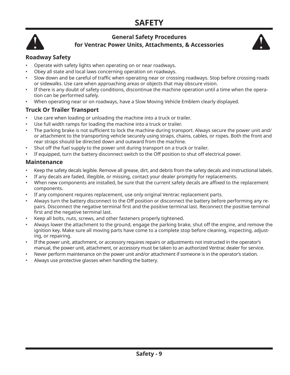



#### **Roadway Safety**

- Operate with safety lights when operating on or near roadways.
- Obey all state and local laws concerning operation on roadways.
- Slow down and be careful of traffic when operating near or crossing roadways. Stop before crossing roads or sidewalks. Use care when approaching areas or objects that may obscure vision.
- If there is any doubt of safety conditions, discontinue the machine operation until a time when the operation can be performed safely.
- When operating near or on roadways, have a Slow Moving Vehicle Emblem clearly displayed.

#### **Truck Or Trailer Transport**

- Use care when loading or unloading the machine into a truck or trailer.
- Use full width ramps for loading the machine into a truck or trailer.
- The parking brake is not sufficient to lock the machine during transport. Always secure the power unit and/ or attachment to the transporting vehicle securely using straps, chains, cables, or ropes. Both the front and rear straps should be directed down and outward from the machine.
- Shut off the fuel supply to the power unit during transport on a truck or trailer.
- If equipped, turn the battery disconnect switch to the Off position to shut off electrical power.

#### **Maintenance**

- Keep the safety decals legible. Remove all grease, dirt, and debris from the safety decals and instructional labels.
- If any decals are faded, illegible, or missing, contact your dealer promptly for replacements.
- When new components are installed, be sure that the current safety decals are affixed to the replacement components.
- If any component requires replacement, use only original Ventrac replacement parts.
- Always turn the battery disconnect to the Off position or disconnect the battery before performing any repairs. Disconnect the negative terminal first and the positive terminal last. Reconnect the positive terminal first and the negative terminal last.
- Keep all bolts, nuts, screws, and other fasteners properly tightened.
- Always lower the attachment to the ground, engage the parking brake, shut off the engine, and remove the ignition key. Make sure all moving parts have come to a complete stop before cleaning, inspecting, adjusting, or repairing.
- If the power unit, attachment, or accessory requires repairs or adjustments not instructed in the operator's manual, the power unit, attachment, or accessory must be taken to an authorized Ventrac dealer for service.
- Never perform maintenance on the power unit and/or attachment if someone is in the operator's station.
- Always use protective glasses when handling the battery.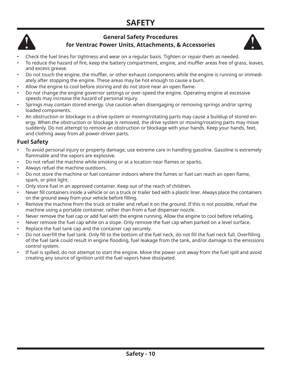



- Check the fuel lines for tightness and wear on a regular basis. Tighten or repair them as needed.
- To reduce the hazard of fire, keep the battery compartment, engine, and muffler areas free of grass, leaves, and excess grease.
- Do not touch the engine, the muffler, or other exhaust components while the engine is running or immediately after stopping the engine. These areas may be hot enough to cause a burn.
- Allow the engine to cool before storing and do not store near an open flame.
- Do not change the engine governor settings or over-speed the engine. Operating engine at excessive speeds may increase the hazard of personal injury.
- Springs may contain stored energy. Use caution when disengaging or removing springs and/or spring loaded components.
- An obstruction or blockage in a drive system or moving/rotating parts may cause a buildup of stored energy. When the obstruction or blockage is removed, the drive system or moving/rotating parts may move suddenly. Do not attempt to remove an obstruction or blockage with your hands. Keep your hands, feet, and clothing away from all power-driven parts.

#### **Fuel Safety**

- To avoid personal injury or property damage, use extreme care in handling gasoline. Gasoline is extremely flammable and the vapors are explosive.
- Do not refuel the machine while smoking or at a location near flames or sparks.
- Always refuel the machine outdoors.
- Do not store the machine or fuel container indoors where the fumes or fuel can reach an open flame, spark, or pilot light.
- Only store fuel in an approved container. Keep out of the reach of children.
- Never fill containers inside a vehicle or on a truck or trailer bed with a plastic liner. Always place the containers on the ground away from your vehicle before filling.
- Remove the machine from the truck or trailer and refuel it on the ground. If this is not possible, refuel the machine using a portable container, rather than from a fuel dispenser nozzle.
- Never remove the fuel cap or add fuel with the engine running. Allow the engine to cool before refueling.
- Never remove the fuel cap while on a slope. Only remove the fuel cap when parked on a level surface.
- Replace the fuel tank cap and the container cap securely.
- Do not overfill the fuel tank. Only fill to the bottom of the fuel neck, do not fill the fuel neck full. Overfilling of the fuel tank could result in engine flooding, fuel leakage from the tank, and/or damage to the emissions control system.
- If fuel is spilled, do not attempt to start the engine. Move the power unit away from the fuel spill and avoid creating any source of ignition until the fuel vapors have dissipated.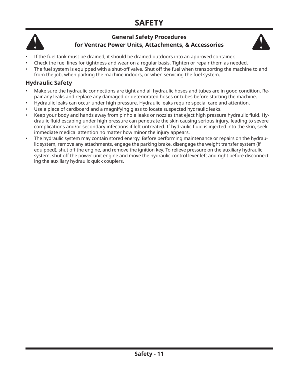



- If the fuel tank must be drained, it should be drained outdoors into an approved container.
- Check the fuel lines for tightness and wear on a regular basis. Tighten or repair them as needed.
- The fuel system is equipped with a shut-off valve. Shut off the fuel when transporting the machine to and from the job, when parking the machine indoors, or when servicing the fuel system.

#### **Hydraulic Safety**

- Make sure the hydraulic connections are tight and all hydraulic hoses and tubes are in good condition. Repair any leaks and replace any damaged or deteriorated hoses or tubes before starting the machine.
- Hydraulic leaks can occur under high pressure. Hydraulic leaks require special care and attention.
- Use a piece of cardboard and a magnifying glass to locate suspected hydraulic leaks.
- Keep your body and hands away from pinhole leaks or nozzles that eject high pressure hydraulic fluid. Hydraulic fluid escaping under high pressure can penetrate the skin causing serious injury, leading to severe complications and/or secondary infections if left untreated. If hydraulic fluid is injected into the skin, seek immediate medical attention no matter how minor the injury appears.
- The hydraulic system may contain stored energy. Before performing maintenance or repairs on the hydraulic system, remove any attachments, engage the parking brake, disengage the weight transfer system (if equipped), shut off the engine, and remove the ignition key. To relieve pressure on the auxiliary hydraulic system, shut off the power unit engine and move the hydraulic control lever left and right before disconnecting the auxiliary hydraulic quick couplers.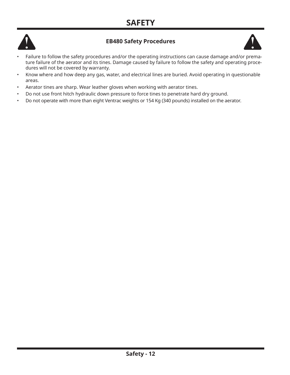

#### **EB480 Safety Procedures**



- Failure to follow the safety procedures and/or the operating instructions can cause damage and/or premature failure of the aerator and its tines. Damage caused by failure to follow the safety and operating procedures will not be covered by warranty.
- Know where and how deep any gas, water, and electrical lines are buried. Avoid operating in questionable areas.
- Aerator tines are sharp. Wear leather gloves when working with aerator tines.
- Do not use front hitch hydraulic down pressure to force tines to penetrate hard dry ground.
- Do not operate with more than eight Ventrac weights or 154 Kg (340 pounds) installed on the aerator.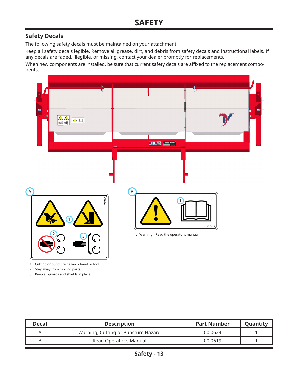#### **Safety Decals**

The following safety decals must be maintained on your attachment.

Keep all safety decals legible. Remove all grease, dirt, and debris from safety decals and instructional labels. If any decals are faded, illegible, or missing, contact your dealer promptly for replacements.

When new components are installed, be sure that current safety decals are affixed to the replacement components.



2. Stay away from moving parts.

3. Keep all guards and shields in place.

| <b>Decal</b> | <b>Description</b>                  | Part Number | Quantity |
|--------------|-------------------------------------|-------------|----------|
|              | Warning, Cutting or Puncture Hazard | 00.0624     |          |
| B            | Read Operator's Manual              | 00.0619     |          |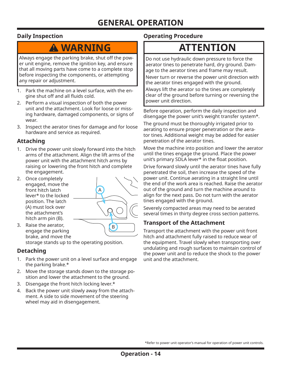#### **Daily Inspection**

## **WARNING**

Always engage the parking brake, shut off the power unit engine, remove the ignition key, and ensure that all moving parts have come to a complete stop before inspecting the components, or attempting any repair or adjustment.

- 1. Park the machine on a level surface, with the engine shut off and all fluids cold.
- 2. Perform a visual inspection of both the power unit and the attachment. Look for loose or missing hardware, damaged components, or signs of wear.
- 3. Inspect the aerator tines for damage and for loose hardware and service as required.

#### **Attaching**

- 1. Drive the power unit slowly forward into the hitch arms of the attachment. Align the lift arms of the power unit with the attachment hitch arms by raising or lowering the front hitch and complete the engagement.
- 2. Once completely engaged, move the front hitch latch lever\* to the locked position. The latch (A) must lock over the attachment's hitch arm pin (B).



3. Raise the aerator, engage the parking brake, and move the storage stands up to the operating position.

**Detaching**

- 1. Park the power unit on a level surface and engage the parking brake.\*
- 2. Move the storage stands down to the storage position and lower the attachment to the ground.
- 3. Disengage the front hitch locking lever.\*
- 4. Back the power unit slowly away from the attachment. A side to side movement of the steering wheel may aid in disengagement.

#### **Operating Procedure**

## **ATTENTION**

Do not use hydraulic down pressure to force the aerator tines to penetrate hard, dry ground. Damage to the aerator tines and frame may result. Never turn or reverse the power unit direction with the aerator tines engaged with the ground.

Always lift the aerator so the tines are completely clear of the ground before turning or reversing the power unit direction.

Before operation, perform the daily inspection and disengage the power unit's weight transfer system\*.

The ground must be thoroughly irrigated prior to aerating to ensure proper penetration or the aerator tines. Additional weight may be added for easier penetration of the aerator tines.

Move the machine into position and lower the aerator until the tines engage the ground. Place the power unit's primary SDLA lever\* in the float position.

Drive forward slowly until the aerator tines have fully penetrated the soil, then increase the speed of the power unit. Continue aerating in a straight line until the end of the work area is reached. Raise the aerator out of the ground and turn the machine around to align for the next pass. Do not turn with the aerator tines engaged with the ground.

Severely compacted areas may need to be aerated several times in thirty degree cross section patterns.

#### **Transport of the Attachment**

Transport the attachment with the power unit front hitch and attachment fully raised to reduce wear of the equipment. Travel slowly when transporting over undulating and rough surfaces to maintain control of the power unit and to reduce the shock to the power unit and the attachment.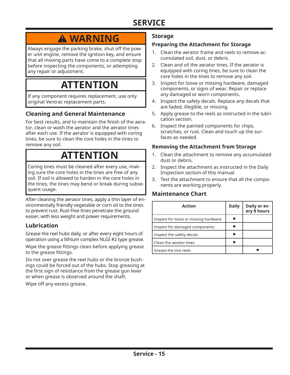## **SERVICE**

## **WARNING**

Always engage the parking brake, shut off the power unit engine, remove the ignition key, and ensure that all moving parts have come to a complete stop before inspecting the components, or attempting any repair or adjustment.

## **ATTENTION**

If any component requires replacement, use only original Ventrac replacement parts.

#### **Cleaning and General Maintenance**

For best results, and to maintain the finish of the aerator, clean or wash the aerator and the aerator tines after each use. If the aerator is equipped with coring tines, be sure to clean the core holes in the tines to remove any soil.

## **ATTENTION**

Coring tines must be cleaned after every use, making sure the core holes in the tines are free of any soil. If soil is allowed to harden in the core holes in the tines, the tines may bend or break during subsequent usage.

After cleaning the aerator tines, apply a thin layer of environmentally friendly vegetable or corn oil to the tines to prevent rust. Rust-free tines penetrate the ground easier, with less weight and power requirements.

#### **Lubrication**

Grease the reel hubs daily, or after every eight hours of operation using a lithium complex NLGI #2 type grease.

Wipe the grease fittings clean before applying grease to the grease fittings.

Do not over grease the reel hubs or the bronze bushings could be forced out of the hubs. Stop greasing at the first sign of resistance from the grease gun lever or when grease is observed around the shaft.

Wipe off any excess grease.

#### **Storage**

#### **Preparing the Attachment for Storage**

- 1. Clean the aerator frame and reels to remove accumulated soil, dust, or debris.
- 2. Clean and oil the aerator tines. If the aerator is equipped with coring tines, be sure to clean the core holes in the tines to remove any soil.
- 3. Inspect for loose or missing hardware, damaged components, or signs of wear. Repair or replace any damaged or worn components.
- 4. Inspect the safety decals. Replace any decals that are faded, illegible, or missing.
- 5. Apply grease to the reels as instructed in the lubrication section.
- 6. Inspect the painted components for chips, scratches, or rust. Clean and touch up the surfaces as needed.

#### **Removing the Attachment from Storage**

- 1. Clean the attachment to remove any accumulated dust or debris.
- 2. Inspect the attachment as instructed in the Daily Inspection section of this manual.
- 3. Test the attachment to ensure that all the components are working properly.

#### **Maintenance Chart**

| <b>Action</b>                         | <b>Daily</b> | Daily or ev-<br>ery 8 hours |
|---------------------------------------|--------------|-----------------------------|
| Inspect for loose or missing hardware |              |                             |
| Inspect for damaged components        |              |                             |
| Inspect the safety decals             |              |                             |
| l Clean the aerator tines             |              |                             |
| l Grease the tine reels               |              |                             |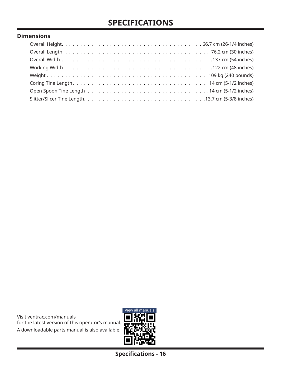### **SPECIFICATIONS**

#### **Dimensions**

Visit ventrac.com/manuals for the latest version of this operator's manual. A downloadable parts manual is also available.



**Specifications - 16**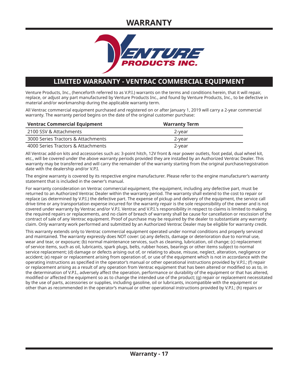### **WARRANTY**



### **LIMITED WARRANTY - VENTRAC COMMERCIAL EQUIPMENT**

Venture Products, Inc., (henceforth referred to as V.P.I.) warrants on the terms and conditions herein, that it will repair, replace, or adjust any part manufactured by Venture Products Inc., and found by Venture Products, Inc., to be defective in material and/or workmanship during the applicable warranty term.

All Ventrac commercial equipment purchased and registered on or after January 1, 2019 will carry a 2-year commercial warranty. The warranty period begins on the date of the original customer purchase:

| <b>Ventrac Commercial Equipment</b> | <b>Warranty Term</b> |  |
|-------------------------------------|----------------------|--|
| 2100 SSV & Attachments              | 2-year               |  |
| 3000 Series Tractors & Attachments  | 2-year               |  |
| 4000 Series Tractors & Attachments  | 2-vear               |  |

All Ventrac add-on kits and accessories such as: 3-point hitch, 12V front & rear power outlets, foot pedal, dual wheel kit, etc., will be covered under the above warranty periods provided they are installed by an Authorized Ventrac Dealer. This warranty may be transferred and will carry the remainder of the warranty starting from the original purchase/registration date with the dealership and/or V.P.I.

The engine warranty is covered by its respective engine manufacturer. Please refer to the engine manufacturer's warranty statement that is included in the owner's manual.

For warranty consideration on Ventrac commercial equipment, the equipment, including any defective part, must be returned to an Authorized Ventrac Dealer within the warranty period. The warranty shall extend to the cost to repair or replace (as determined by V.P.I.) the defective part. The expense of pickup and delivery of the equipment, the service call drive time or any transportation expense incurred for the warranty repair is the sole responsibility of the owner and is not covered under warranty by Ventrac and/or V.P.I. Ventrac and V.P.I.'s responsibility in respect to claims is limited to making the required repairs or replacements, and no claim of breach of warranty shall be cause for cancellation or rescission of the contract of sale of any Ventrac equipment. Proof of purchase may be required by the dealer to substantiate any warranty claim. Only warranty work performed and submitted by an Authorized Ventrac Dealer may be eligible for warranty credit.

This warranty extends only to Ventrac commercial equipment operated under normal conditions and properly serviced and maintained. The warranty expressly does NOT cover: (a) any defects, damage or deterioration due to normal use, wear and tear, or exposure; (b) normal maintenance services, such as cleaning, lubrication, oil change; (c) replacement of service items, such as oil, lubricants, spark plugs, belts, rubber hoses, bearings or other items subject to normal service replacement; (d) damage or defects arising out of, or relating to abuse, misuse, neglect, alteration, negligence or accident; (e) repair or replacement arising from operation of, or use of the equipment which is not in accordance with the operating instructions as specified in the operator's manual or other operational instructions provided by V.P.I.; (f) repair or replacement arising as a result of any operation from Ventrac equipment that has been altered or modified so as to, in the determination of V.P.I., adversely affect the operation, performance or durability of the equipment or that has altered, modified or affected the equipment so as to change the intended use of the product; (g) repair or replacement necessitated by the use of parts, accessories or supplies, including gasoline, oil or lubricants, incompatible with the equipment or other than as recommended in the operator's manual or other operational instructions provided by V.P.I.; (h) repairs or